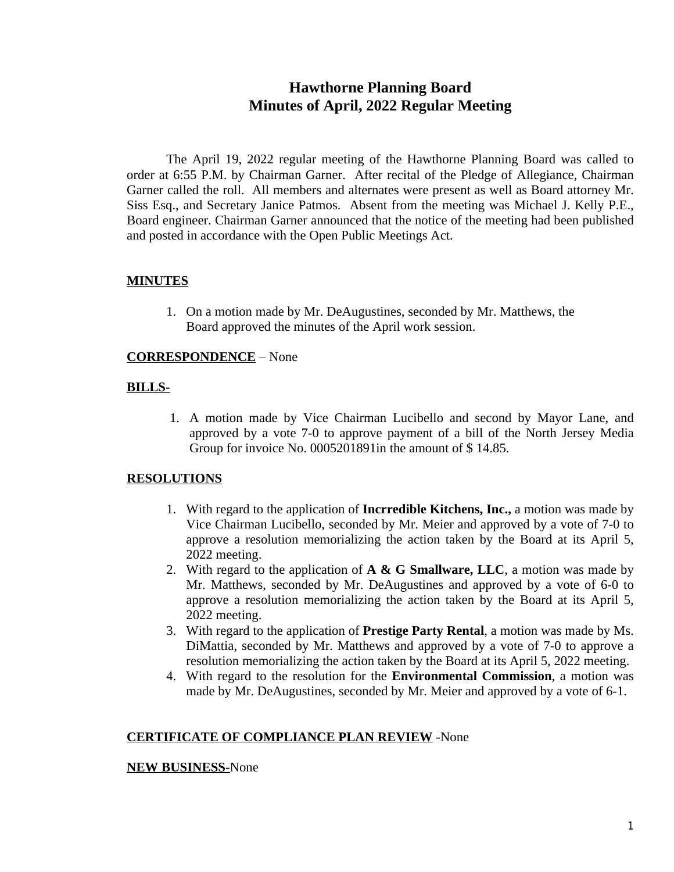# **Hawthorne Planning Board Minutes of April, 2022 Regular Meeting**

The April 19, 2022 regular meeting of the Hawthorne Planning Board was called to order at 6:55 P.M. by Chairman Garner. After recital of the Pledge of Allegiance, Chairman Garner called the roll. All members and alternates were present as well as Board attorney Mr. Siss Esq., and Secretary Janice Patmos. Absent from the meeting was Michael J. Kelly P.E., Board engineer. Chairman Garner announced that the notice of the meeting had been published and posted in accordance with the Open Public Meetings Act.

## **MINUTES**

1. On a motion made by Mr. DeAugustines, seconded by Mr. Matthews, the Board approved the minutes of the April work session.

## **CORRESPONDENCE** – None

## **BILLS-**

1. A motion made by Vice Chairman Lucibello and second by Mayor Lane, and approved by a vote 7-0 to approve payment of a bill of the North Jersey Media Group for invoice No. 0005201891in the amount of \$ 14.85.

#### **RESOLUTIONS**

- 1. With regard to the application of **Incrredible Kitchens, Inc.,** a motion was made by Vice Chairman Lucibello, seconded by Mr. Meier and approved by a vote of 7-0 to approve a resolution memorializing the action taken by the Board at its April 5, 2022 meeting.
- 2. With regard to the application of **A & G Smallware, LLC**, a motion was made by Mr. Matthews, seconded by Mr. DeAugustines and approved by a vote of 6-0 to approve a resolution memorializing the action taken by the Board at its April 5, 2022 meeting.
- 3. With regard to the application of **Prestige Party Rental**, a motion was made by Ms. DiMattia, seconded by Mr. Matthews and approved by a vote of 7-0 to approve a resolution memorializing the action taken by the Board at its April 5, 2022 meeting.
- 4. With regard to the resolution for the **Environmental Commission**, a motion was made by Mr. DeAugustines, seconded by Mr. Meier and approved by a vote of 6-1.

#### **CERTIFICATE OF COMPLIANCE PLAN REVIEW** -None

#### **NEW BUSINESS-**None